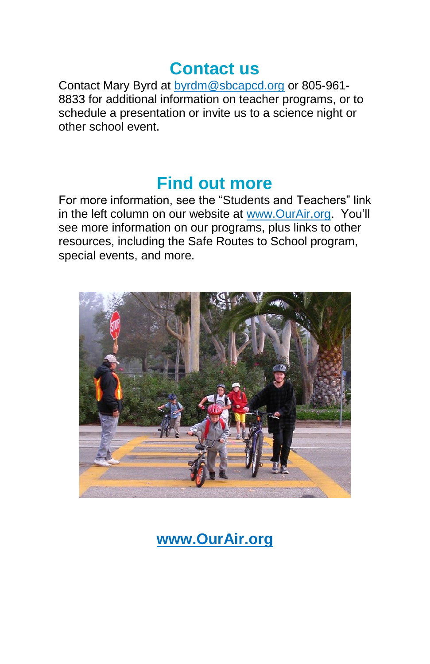### **Contact us**

Contact Mary Byrd at [byrdm@sbcapcd.org](mailto:byrdm@sbcapcd.org) or 805-961- 8833 for additional information on teacher programs, or to schedule a presentation or invite us to a science night or other school event.

## **Find out more**

For more information, see the "Students and Teachers" link in the left column on our website at [www.OurAir.org.](http://www.ourair.org/) You'll see more information on our programs, plus links to other resources, including the Safe Routes to School program, special events, and more.



**[www.OurAir.org](http://www.ourair.org/)**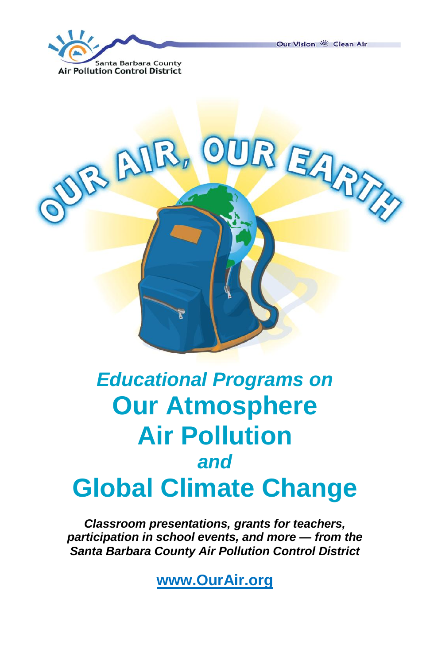Our Vision ※ Clean Air





# *Educational Programs on*  **Our Atmosphere Air Pollution**  *and*  **Global Climate Change**

*Classroom presentations, grants for teachers, participation in school events, and more — from the Santa Barbara County Air Pollution Control District*

**[www.OurAir.org](http://www.ourair.org/)**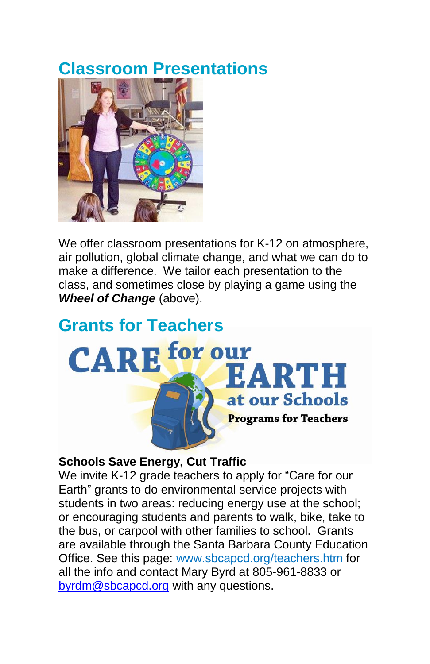# **Classroom Presentations**



We offer classroom presentations for K-12 on atmosphere, air pollution, global climate change, and what we can do to make a difference. We tailor each presentation to the class, and sometimes close by playing a game using the *Wheel of Change* (above).

# **Grants for Teachers CARE** for our EARTH at our Schools **Programs for Teachers**

#### **Schools Save Energy, Cut Traffic**

We invite K-12 grade teachers to apply for "Care for our Earth" grants to do environmental service projects with students in two areas: reducing energy use at the school; or encouraging students and parents to walk, bike, take to the bus, or carpool with other families to school. Grants are available through the Santa Barbara County Education Office. See this page: [www.sbcapcd.org/teachers.htm](http://www.sbcapcd.org/teachers.htm) for all the info and contact Mary Byrd at 805-961-8833 or [byrdm@sbcapcd.org](mailto:byrdm@sbcapcd.org) with any questions.